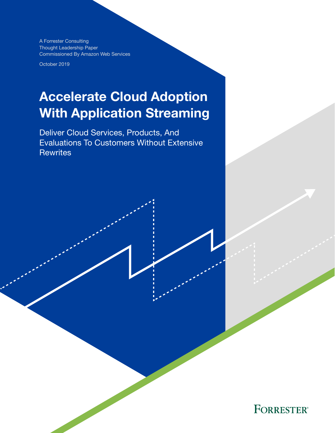A Forrester Consulting Thought Leadership Paper Commissioned By Amazon Web Services

October 2019

# Accelerate Cloud Adoption With Application Streaming

Deliver Cloud Services, Products, And Evaluations To Customers Without Extensive **Rewrites** 

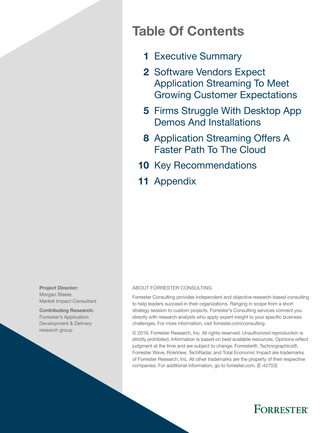## Table Of Contents

- 1 [Executive Summary](#page-2-0)
- 2 Software Vendors Expect [Application Streaming To Meet](#page-3-0)  [Growing Customer Expectations](#page-3-0)
- 5 Firms Struggle With Desktop App [Demos And Installations](#page-6-0)
- 8 Application Streaming Offers A [Faster Path To The Cloud](#page-9-0)
- 10 [Key Recommendations](#page-11-0)
- 11 [Appendix](#page-12-0)

Project Director: Morgan Steele, Market Impact Consultant

Contributing Research: Forrester's Application Development & Delivery research group

#### ABOUT FORRESTER CONSULTING

Forrester Consulting provides independent and objective research-based consulting to help leaders succeed in their organizations. Ranging in scope from a short strategy session to custom projects, Forrester's Consulting services connect you directly with research analysts who apply expert insight to your specific business challenges. For more information, visit forrester.com/consulting.

© 2019, Forrester Research, Inc. All rights reserved. Unauthorized reproduction is strictly prohibited. Information is based on best available resources. Opinions reflect judgment at the time and are subject to change. Forrester®, Technographics®, Forrester Wave, RoleView, TechRadar, and Total Economic Impact are trademarks of Forrester Research, Inc. All other trademarks are the property of their respective companies. For additional information, go to forrester.com. [E-42753]

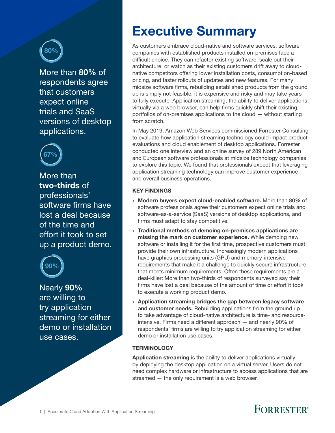<span id="page-2-0"></span>

More than 80% of respondents agree that customers expect online trials and SaaS versions of desktop applications.



More than two-thirds of professionals' software firms have lost a deal because of the time and effort it took to set up a product demo.



Nearly 90% are willing to try application streaming for either demo or installation use cases.

## Executive Summary

As customers embrace cloud-native and software services, software companies with established products installed on-premises face a difficult choice. They can refactor existing software, scale out their architecture, or watch as their existing customers drift away to cloudnative competitors offering lower installation costs, consumption-based pricing, and faster rollouts of updates and new features. For many midsize software firms, rebuilding established products from the ground up is simply not feasible; it is expensive and risky and may take years to fully execute. Application streaming, the ability to deliver applications virtually via a web browser, can help firms quickly shift their existing portfolios of on-premises applications to the cloud — without starting from scratch.

In May 2019, Amazon Web Services commissioned Forrester Consulting to evaluate how application streaming technology could impact product evaluations and cloud enablement of desktop applications. Forrester conducted one interview and an online survey of 289 North American and European software professionals at midsize technology companies to explore this topic. We found that professionals expect that leveraging application streaming technology can improve customer experience and overall business operations.

#### KEY FINDINGS

- › Modern buyers expect cloud-enabled software. More than 80% of software professionals agree their customers expect online trials and software-as-a-service (SaaS) versions of desktop applications, and firms must adapt to stay competitive.
- › Traditional methods of demoing on-premises applications are missing the mark on customer experience. While demoing new software or installing it for the first time, prospective customers must provide their own infrastructure. Increasingly modern applications have graphics processing units (GPU) and memory-intensive requirements that make it a challenge to quickly secure infrastructure that meets minimum requirements. Often these requirements are a deal-killer: More than two-thirds of respondents surveyed say their firms have lost a deal because of the amount of time or effort it took to execute a working product demo.
- › Application streaming bridges the gap between legacy software and customer needs. Rebuilding applications from the ground up to take advantage of cloud-native architecture is time- and resourceintensive. Firms need a different approach — and nearly 90% of respondents' firms are willing to try application streaming for either demo or installation use cases.

#### **TERMINOLOGY**

Application streaming is the ability to deliver applications virtually by deploying the desktop application on a virtual server. Users do not need complex hardware or infrastructure to access applications that are streamed — the only requirement is a web browser.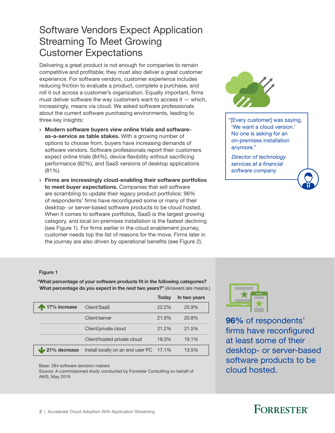### <span id="page-3-0"></span>Software Vendors Expect Application Streaming To Meet Growing Customer Expectations

Delivering a great product is not enough for companies to remain competitive and profitable; they must also deliver a great customer experience. For software vendors, customer experience includes reducing friction to evaluate a product, complete a purchase, and roll it out across a customer's organization. Equally important, firms must deliver software the way customers want to access it  $-$  which, increasingly, means via cloud. We asked software professionals about the current software purchasing environments, leading to three key insights:

- › Modern software buyers view online trials and softwareas-a-service as table stakes. With a growing number of options to choose from, buyers have increasing demands of software vendors. Software professionals report their customers expect online trials (84%), device flexibility without sacrificing performance (82%), and SaaS versions of desktop applications (81%).
- › Firms are increasingly cloud-enabling their software portfolios to meet buyer expectations. Companies that sell software are scrambling to update their legacy product portfolios: 96% of respondents' firms have reconfigured some or many of their desktop- or server-based software products to be cloud hosted. When it comes to software portfolios, SaaS is the largest growing category, and local on-premises installation is the fastest declining (see Figure 1). For firms earlier in the cloud enablement journey, customer needs top the list of reasons for the move. Firms later in the journey are also driven by operational benefits (see Figure 2).



"[Every customer] was saying, 'We want a cloud version.' No one is asking for an on-premises installation anymore."

 *Director of technology services at a financial software company*

#### Figure 1

"What percentage of your software products fit in the following categories? What percentage do you expect in the next two years?" (Answers are means.)

|                        |                                   | <b>Todav</b> | In two years |
|------------------------|-----------------------------------|--------------|--------------|
| 17% increase           | Client/SaaS                       | $22.2\%$     | 25.9%        |
|                        | Client/server                     | 21.9%        | 20.8%        |
|                        | Client/private cloud              | 21.2%        | 21.5%        |
|                        | Client/hosted private cloud       | 18.3%        | 19.1%        |
| $\sqrt{21\%}$ decrease | Install locally on an end user PC | 17.1%        | 13.5%        |
|                        |                                   |              |              |

Base: 284 software decision makers

Source: A commissioned study conducted by Forrester Consulting on behalf of AWS, May 2019



96% of respondents' firms have reconfigured at least some of their desktop- or server-based software products to be cloud hosted.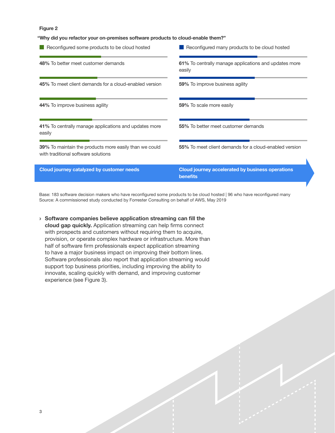#### Figure 2

"Why did you refactor your on-premises software products to cloud-enable them?"

| Reconfigured some products to be cloud hosted                                                        | Reconfigured many products to be cloud hosted                   |  |  |
|------------------------------------------------------------------------------------------------------|-----------------------------------------------------------------|--|--|
| 48% To better meet customer demands                                                                  | 61% To centrally manage applications and updates more<br>easily |  |  |
| 45% To meet client demands for a cloud-enabled version                                               | 59% To improve business agility                                 |  |  |
| 44% To improve business agility                                                                      | 59% To scale more easily                                        |  |  |
| 41% To centrally manage applications and updates more<br>easily                                      | 55% To better meet customer demands                             |  |  |
| <b>39%</b> To maintain the products more easily than we could<br>with traditional software solutions | 55% To meet client demands for a cloud-enabled version          |  |  |
| Cloud journey catalyzed by customer needs                                                            | Cloud journey accelerated by business operations<br>benefits    |  |  |

Base: 183 software decision makers who have reconfigured some products to be cloud hosted | 96 who have reconfigured many Source: A commissioned study conducted by Forrester Consulting on behalf of AWS, May 2019

› Software companies believe application streaming can fill the cloud gap quickly. Application streaming can help firms connect with prospects and customers without requiring them to acquire, provision, or operate complex hardware or infrastructure. More than half of software firm professionals expect application streaming to have a major business impact on improving their bottom lines. Software professionals also report that application streaming would support top business priorities, including improving the ability to innovate, scaling quickly with demand, and improving customer experience (see Figure 3).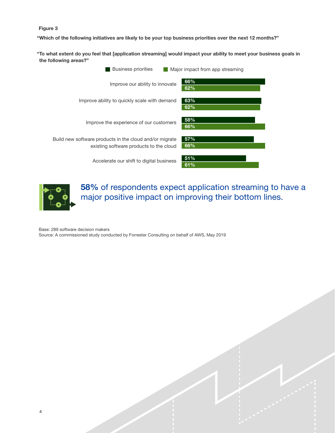#### Figure 3

"Which of the following initiatives are likely to be your top business priorities over the next 12 months?"

"To what extent do you feel that [application streaming] would impact your ability to meet your business goals in the following areas?"





58% of respondents expect application streaming to have a major positive impact on improving their bottom lines.

Base: 289 software decision makers

Source: A commissioned study conducted by Forrester Consulting on behalf of AWS, May 2019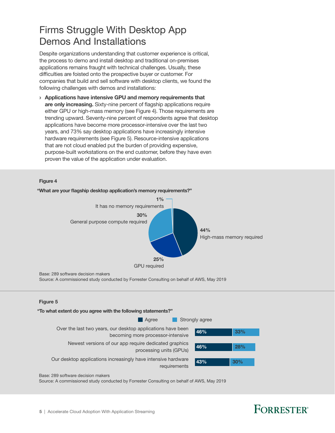### <span id="page-6-0"></span>Firms Struggle With Desktop App Demos And Installations

Despite organizations understanding that customer experience is critical, the process to demo and install desktop and traditional on-premises applications remains fraught with technical challenges. Usually, these difficulties are foisted onto the prospective buyer or customer. For companies that build and sell software with desktop clients, we found the following challenges with demos and installations:

› Applications have intensive GPU and memory requirements that are only increasing. Sixty-nine percent of flagship applications require either GPU or high-mass memory (see Figure 4). Those requirements are trending upward. Seventy-nine percent of respondents agree that desktop applications have become more processor-intensive over the last two years, and 73% say desktop applications have increasingly intensive hardware requirements (see Figure 5). Resource-intensive applications that are not cloud enabled put the burden of providing expensive, purpose-built workstations on the end customer, before they have even proven the value of the application under evaluation.

#### Figure 4



Base: 289 software decision makers

Source: A commissioned study conducted by Forrester Consulting on behalf of AWS, May 2019

#### **Figure 5**



Base: 289 software decision makers

Source: A commissioned study conducted by Forrester Consulting on behalf of AWS, May 2019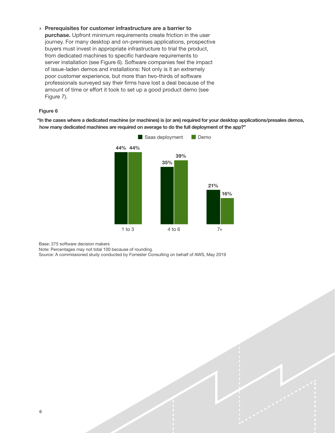› Prerequisites for customer infrastructure are a barrier to purchase. Upfront minimum requirements create friction in the user journey. For many desktop and on-premises applications, prospective buyers must invest in appropriate infrastructure to trial the product, from dedicated machines to specific hardware requirements to server installation (see Figure 6). Software companies feel the impact of issue-laden demos and installations: Not only is it an extremely poor customer experience, but more than two-thirds of software professionals surveyed say their firms have lost a deal because of the amount of time or effort it took to set up a good product demo (see Figure 7).

#### Figure 6

"In the cases where a dedicated machine (or machines) is (or are) required for your desktop applications/presales demos, how many dedicated machines are required on average to do the full deployment of the app?"



Base: 275 software decision makers

Note: Percentages may not total 100 because of rounding.

Source: A commissioned study conducted by Forrester Consulting on behalf of AWS, May 2019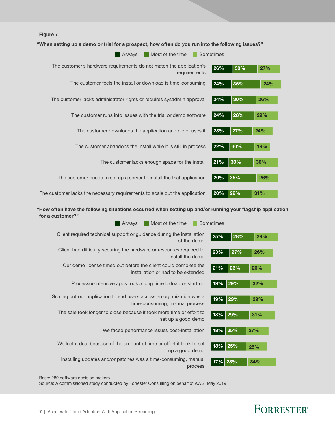

"When setting up a demo or trial for a prospect, how often do you run into the following issues?"

| Most of the time<br>Always                                                          | Sometimes |     |     |
|-------------------------------------------------------------------------------------|-----------|-----|-----|
| The customer's hardware requirements do not match the application's<br>requirements | 26%       | 30% | 27% |
| The customer feels the install or download is time-consuming                        | 24%       | 36% | 24% |
| The customer lacks administrator rights or requires sysadmin approval               | 24%       | 30% | 26% |
| The customer runs into issues with the trial or demo software                       | 24%       | 28% | 29% |
| The customer downloads the application and never uses it                            | 23%       | 27% | 24% |
| The customer abandons the install while it is still in process                      | 22%       | 30% | 19% |
| The customer lacks enough space for the install                                     | 21%       | 30% | 30% |
| The customer needs to set up a server to install the trial application              | 20%       | 35% | 26% |
| The customer lacks the necessary requirements to scale out the application          | 20%       | 29% | 31% |

"How often have the following situations occurred when setting up and/or running your flagship application for a customer?"

| Most of the time<br>Always                                                                              | Sometimes                 |
|---------------------------------------------------------------------------------------------------------|---------------------------|
| Client required technical support or guidance during the installation<br>of the demo                    | 25%<br>28%<br>29%         |
| Client had difficulty securing the hardware or resources required to<br>install the demo                | 27%<br>23%<br>26%         |
| Our demo license timed out before the client could complete the<br>installation or had to be extended   | 26%<br>21%<br>26%         |
| Processor-intensive apps took a long time to load or start up                                           | 29%<br>19%<br>32%         |
| Scaling out our application to end users across an organization was a<br>time-consuming, manual process | 29%<br>19%<br>29%         |
| The sale took longer to close because it took more time or effort to<br>set up a good demo              | $\vert$ 29%<br>18%<br>31% |
| We faced performance issues post-installation                                                           | $\vert$ 25%<br>18%<br>27% |
| We lost a deal because of the amount of time or effort it took to set<br>up a good demo                 | $\vert$ 25%<br>18%<br>25% |
| Installing updates and/or patches was a time-consuming, manual<br>process                               | 17% 28%<br>34%            |

Base: 289 software decision makers

Source: A commissioned study conducted by Forrester Consulting on behalf of AWS, May 2019

### FORRESTER®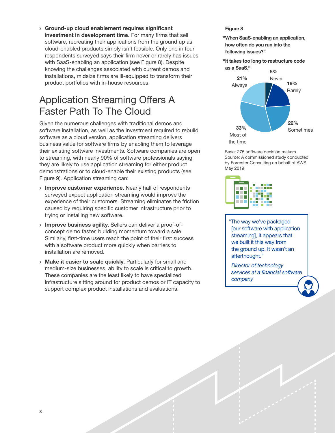<span id="page-9-0"></span>› Ground-up cloud enablement requires significant investment in development time. For many firms that sell software, recreating their applications from the ground up as cloud-enabled products simply isn't feasible. Only one in four respondents surveyed says their firm never or rarely has issues with SaaS-enabling an application (see Figure 8). Despite knowing the challenges associated with current demos and installations, midsize firms are ill-equipped to transform their product portfolios with in-house resources.

### Application Streaming Offers A Faster Path To The Cloud

Given the numerous challenges with traditional demos and software installation, as well as the investment required to rebuild software as a cloud version, application streaming delivers business value for software firms by enabling them to leverage their existing software investments. Software companies are open to streaming, with nearly 90% of software professionals saying they are likely to use application streaming for either product demonstrations or to cloud-enable their existing products (see Figure 9). Application streaming can:

- **Improve customer experience.** Nearly half of respondents surveyed expect application streaming would improve the experience of their customers. Streaming eliminates the friction caused by requiring specific customer infrastructure prior to trying or installing new software.
- › Improve business agility. Sellers can deliver a proof-ofconcept demo faster, building momentum toward a sale. Similarly, first-time users reach the point of their first success with a software product more quickly when barriers to installation are removed.
- › Make it easier to scale quickly. Particularly for small and medium-size businesses, ability to scale is critical to growth. These companies are the least likely to have specialized infrastructure sitting around for product demos or IT capacity to support complex product installations and evaluations.

#### Figure 8

"When SaaS-enabling an application, how often do you run into the following issues?"

"It takes too long to restructure code as a SaaS."



Base: 275 software decision makers Source: A commissioned study conducted by Forrester Consulting on behalf of AWS, May 2019



"The way we've packaged [our software with application streaming], it appears that we built it this way from the ground up. It wasn't an afterthought."

 *Director of technology services at a financial software company*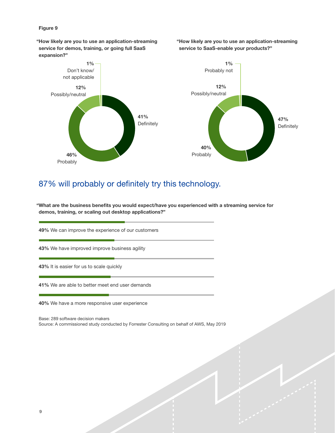#### Figure 9

"How likely are you to use an application-streaming service for demos, training, or going full SaaS expansion?"

"How likely are you to use an application-streaming service to SaaS-enable your products?"



### 87% will probably or definitely try this technology.

"What are the business benefits you would expect/have you experienced with a streaming service for demos, training, or scaling out desktop applications?"

49% We can improve the experience of our customers

43% We have improved improve business agility

43% It is easier for us to scale quickly

41% We are able to better meet end user demands

40% We have a more responsive user experience

Base: 289 software decision makers Source: A commissioned study conducted by Forrester Consulting on behalf of AWS, May 2019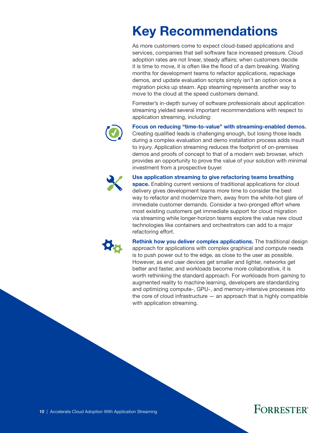# <span id="page-11-0"></span>Key Recommendations

As more customers come to expect cloud-based applications and services, companies that sell software face increased pressure. Cloud adoption rates are not linear, steady affairs; when customers decide it is time to move, it is often like the flood of a dam breaking. Waiting months for development teams to refactor applications, repackage demos, and update evaluation scripts simply isn't an option once a migration picks up steam. App steaming represents another way to move to the cloud at the speed customers demand.

Forrester's in-depth survey of software professionals about application streaming yielded several important recommendations with respect to application streaming, including:



Focus on reducing "time-to-value" with streaming-enabled demos. Creating qualified leads is challenging enough, but losing those leads

during a complex evaluation and demo installation process adds insult to injury. Application streaming reduces the footprint of on-premises demos and proofs of concept to that of a modern web browser, which provides an opportunity to prove the value of your solution with minimal investment from a prospective buyer.



Use application streaming to give refactoring teams breathing

space. Enabling current versions of traditional applications for cloud delivery gives development teams more time to consider the best way to refactor and modernize them, away from the white-hot glare of immediate customer demands. Consider a two-pronged effort where most existing customers get immediate support for cloud migration via streaming while longer-horizon teams explore the value new cloud technologies like containers and orchestrators can add to a major refactoring effort.



Rethink how you deliver complex applications. The traditional design approach for applications with complex graphical and compute needs is to push power out to the edge, as close to the user as possible. However, as end user devices get smaller and lighter, networks get better and faster, and workloads become more collaborative, it is worth rethinking the standard approach. For workloads from gaming to augmented reality to machine learning, developers are standardizing and optimizing compute-, GPU-, and memory-intensive processes into the core of cloud infrastructure  $-$  an approach that is highly compatible with application streaming.

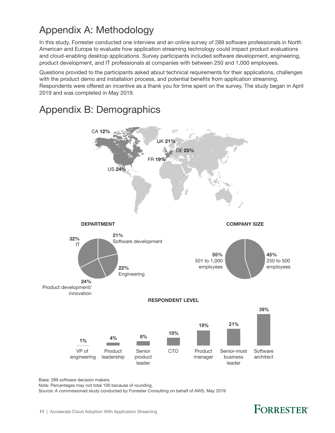### <span id="page-12-0"></span>Appendix A: Methodology

In this study, Forrester conducted one interview and an online survey of 289 software professionals in North American and Europe to evaluate how application streaming technology could impact product evaluations and cloud-enabling desktop applications. Survey participants included software development, engineering, product development, and IT professionals at companies with between 250 and 1,000 employees.

Questions provided to the participants asked about technical requirements for their applications, challenges with the product demo and installation process, and potential benefits from application streaming. Respondents were offered an incentive as a thank you for time spent on the survey. The study began in April 2019 and was completed in May 2019.





Base: 289 software decision makers

Note: Percentages may not total 100 because of rounding.

Source: A commissioned study conducted by Forrester Consulting on behalf of AWS, May 2019

## **FORRESTER**<sup>®</sup>